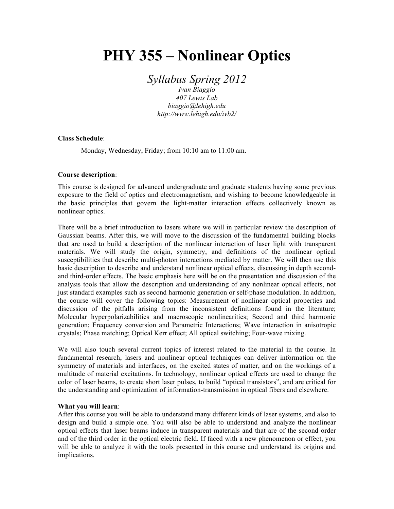# **PHY 355 – Nonlinear Optics**

*Syllabus Spring 2012*

*Ivan Biaggio 407 Lewis Lab biaggio@lehigh.edu http://www.lehigh.edu/ivb2/*

## **Class Schedule**:

Monday, Wednesday, Friday; from 10:10 am to 11:00 am.

## **Course description**:

This course is designed for advanced undergraduate and graduate students having some previous exposure to the field of optics and electromagnetism, and wishing to become knowledgeable in the basic principles that govern the light-matter interaction effects collectively known as nonlinear optics.

There will be a brief introduction to lasers where we will in particular review the description of Gaussian beams. After this, we will move to the discussion of the fundamental building blocks that are used to build a description of the nonlinear interaction of laser light with transparent materials. We will study the origin, symmetry, and definitions of the nonlinear optical susceptibilities that describe multi-photon interactions mediated by matter. We will then use this basic description to describe and understand nonlinear optical effects, discussing in depth secondand third-order effects. The basic emphasis here will be on the presentation and discussion of the analysis tools that allow the description and understanding of any nonlinear optical effects, not just standard examples such as second harmonic generation or self-phase modulation. In addition, the course will cover the following topics: Measurement of nonlinear optical properties and discussion of the pitfalls arising from the inconsistent definitions found in the literature; Molecular hyperpolarizabilities and macroscopic nonlinearities; Second and third harmonic generation; Frequency conversion and Parametric Interactions; Wave interaction in anisotropic crystals; Phase matching; Optical Kerr effect; All optical switching; Four-wave mixing.

We will also touch several current topics of interest related to the material in the course. In fundamental research, lasers and nonlinear optical techniques can deliver information on the symmetry of materials and interfaces, on the excited states of matter, and on the workings of a multitude of material excitations. In technology, nonlinear optical effects are used to change the color of laser beams, to create short laser pulses, to build "optical transistors", and are critical for the understanding and optimization of information-transmission in optical fibers and elsewhere.

#### **What you will learn**:

After this course you will be able to understand many different kinds of laser systems, and also to design and build a simple one. You will also be able to understand and analyze the nonlinear optical effects that laser beams induce in transparent materials and that are of the second order and of the third order in the optical electric field. If faced with a new phenomenon or effect, you will be able to analyze it with the tools presented in this course and understand its origins and implications.